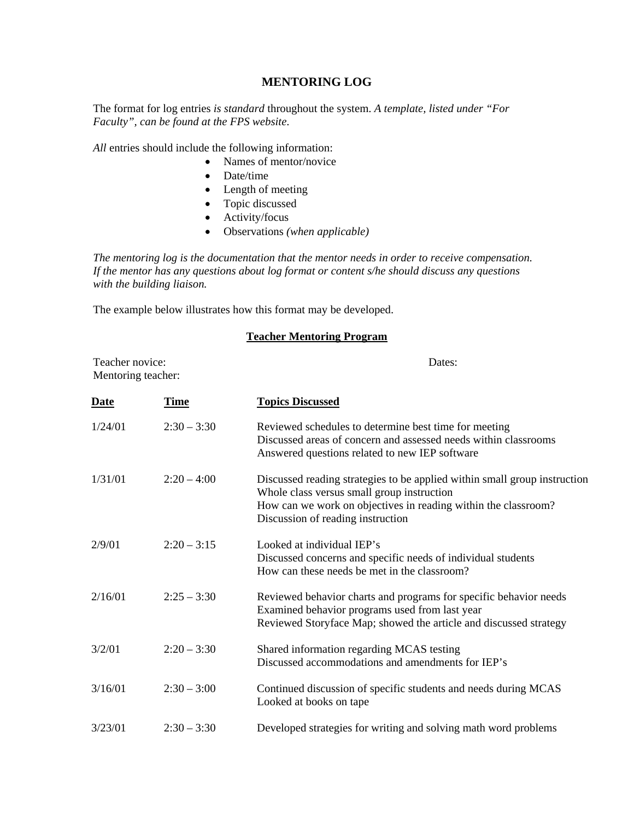## **MENTORING LOG**

The format for log entries *is standard* throughout the system. *A template, listed under "For Faculty", can be found at the FPS website*.

*All* entries should include the following information:

- Names of mentor/novice
- Date/time
- Length of meeting
- Topic discussed
- Activity/focus
- Observations *(when applicable)*

*The mentoring log is the documentation that the mentor needs in order to receive compensation. If the mentor has any questions about log format or content s/he should discuss any questions with the building liaison.* 

The example below illustrates how this format may be developed.

## **Teacher Mentoring Program**

| Teacher novice:<br>Mentoring teacher: |               | Dates:                                                                                                                                                                                                                         |
|---------------------------------------|---------------|--------------------------------------------------------------------------------------------------------------------------------------------------------------------------------------------------------------------------------|
| Date                                  | Time          | <b>Topics Discussed</b>                                                                                                                                                                                                        |
| 1/24/01                               | $2:30 - 3:30$ | Reviewed schedules to determine best time for meeting<br>Discussed areas of concern and assessed needs within classrooms<br>Answered questions related to new IEP software                                                     |
| 1/31/01                               | $2:20-4:00$   | Discussed reading strategies to be applied within small group instruction<br>Whole class versus small group instruction<br>How can we work on objectives in reading within the classroom?<br>Discussion of reading instruction |
| 2/9/01                                | $2:20 - 3:15$ | Looked at individual IEP's<br>Discussed concerns and specific needs of individual students<br>How can these needs be met in the classroom?                                                                                     |
| 2/16/01                               | $2:25 - 3:30$ | Reviewed behavior charts and programs for specific behavior needs<br>Examined behavior programs used from last year<br>Reviewed Storyface Map; showed the article and discussed strategy                                       |
| 3/2/01                                | $2:20 - 3:30$ | Shared information regarding MCAS testing<br>Discussed accommodations and amendments for IEP's                                                                                                                                 |
| 3/16/01                               | $2:30 - 3:00$ | Continued discussion of specific students and needs during MCAS<br>Looked at books on tape                                                                                                                                     |
| 3/23/01                               | $2:30 - 3:30$ | Developed strategies for writing and solving math word problems                                                                                                                                                                |